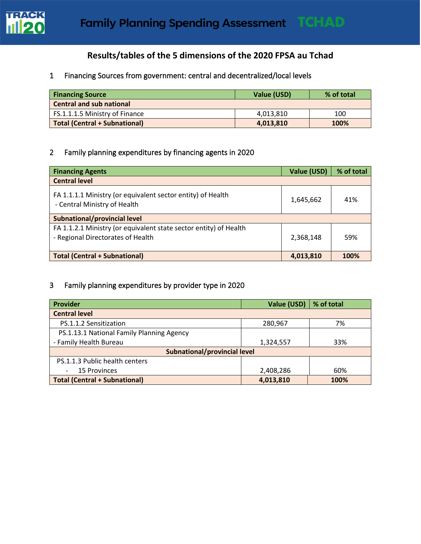

## **Results/tables of the 5 dimensions of the 2020 FPSA au Tchad**

## 1 Financing Sources from government: central and decentralized/local levels

| <b>Financing Source</b>              | Value (USD) | % of total |
|--------------------------------------|-------------|------------|
| <b>Central and sub national</b>      |             |            |
| FS.1.1.1.5 Ministry of Finance       | 4.013.810   | 100        |
| <b>Total (Central + Subnational)</b> | 4,013,810   | 100%       |

## 2 Family planning expenditures by financing agents in 2020

| <b>Financing Agents</b>                                                                                | Value (USD) | % of total |  |
|--------------------------------------------------------------------------------------------------------|-------------|------------|--|
| <b>Central level</b>                                                                                   |             |            |  |
| FA 1.1.1.1 Ministry (or equivalent sector entity) of Health<br>- Central Ministry of Health            | 1,645,662   | 41%        |  |
| Subnational/provincial level                                                                           |             |            |  |
| FA 1.1.2.1 Ministry (or equivalent state sector entity) of Health<br>- Regional Directorates of Health | 2,368,148   | 59%        |  |
| <b>Total (Central + Subnational)</b>                                                                   | 4,013,810   | 100%       |  |

## 3 Family planning expenditures by provider type in 2020

| <b>Provider</b>                           | Value (USD) | % of total |  |  |  |
|-------------------------------------------|-------------|------------|--|--|--|
| <b>Central level</b>                      |             |            |  |  |  |
| PS.1.1.2 Sensitization                    | 280,967     | 7%         |  |  |  |
| PS.1.13.1 National Family Planning Agency |             |            |  |  |  |
| - Family Health Bureau                    | 1,324,557   | 33%        |  |  |  |
| Subnational/provincial level              |             |            |  |  |  |
| PS.1.1.3 Public health centers            |             |            |  |  |  |
| <b>15 Provinces</b>                       | 2,408,286   | 60%        |  |  |  |
| <b>Total (Central + Subnational)</b>      | 4,013,810   | 100%       |  |  |  |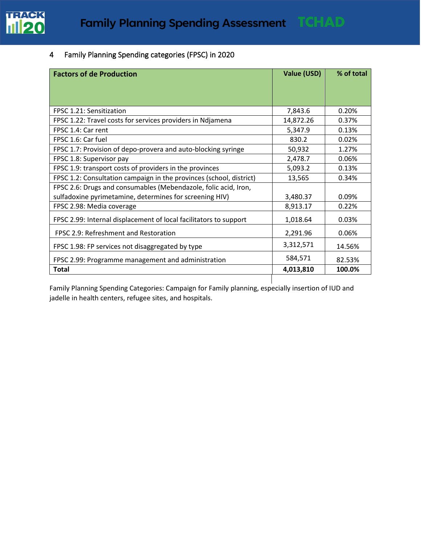

## 4 Family Planning Spending categories (FPSC) in 2020

| <b>Factors of de Production</b>                                     | Value (USD) | % of total |
|---------------------------------------------------------------------|-------------|------------|
|                                                                     |             |            |
|                                                                     |             |            |
| FPSC 1.21: Sensitization                                            | 7,843.6     | 0.20%      |
| FPSC 1.22: Travel costs for services providers in Ndjamena          | 14,872.26   | 0.37%      |
| FPSC 1.4: Car rent                                                  | 5,347.9     | 0.13%      |
| FPSC 1.6: Car fuel                                                  | 830.2       | 0.02%      |
| FPSC 1.7: Provision of depo-provera and auto-blocking syringe       | 50,932      | 1.27%      |
| FPSC 1.8: Supervisor pay                                            | 2,478.7     | 0.06%      |
| FPSC 1.9: transport costs of providers in the provinces             | 5,093.2     | 0.13%      |
| FPSC 1.2: Consultation campaign in the provinces (school, district) | 13,565      | 0.34%      |
| FPSC 2.6: Drugs and consumables (Mebendazole, folic acid, Iron,     |             |            |
| sulfadoxine pyrimetamine, determines for screening HIV)             | 3,480.37    | 0.09%      |
| FPSC 2.98: Media coverage                                           | 8,913.17    | 0.22%      |
| FPSC 2.99: Internal displacement of local facilitators to support   | 1,018.64    | 0.03%      |
| FPSC 2.9: Refreshment and Restoration                               | 2,291.96    | 0.06%      |
| FPSC 1.98: FP services not disaggregated by type                    | 3,312,571   | 14.56%     |
| FPSC 2.99: Programme management and administration                  | 584,571     | 82.53%     |
| <b>Total</b>                                                        | 4,013,810   | 100.0%     |

Family Planning Spending Categories: Campaign for Family planning, especially insertion of IUD and jadelle in health centers, refugee sites, and hospitals.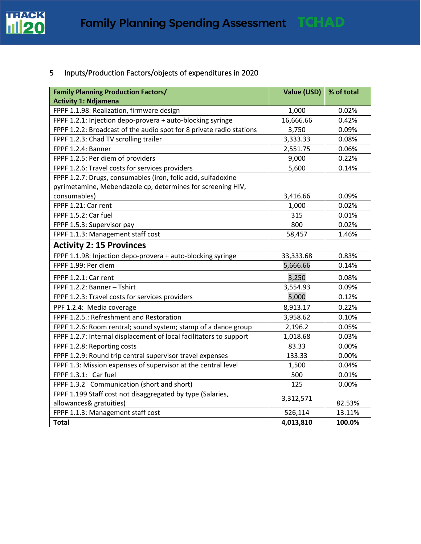

# 5 Inputs/Production Factors/objects of expenditures in 2020

| <b>Family Planning Production Factors/</b>                           | Value (USD) | % of total |
|----------------------------------------------------------------------|-------------|------------|
| <b>Activity 1: Ndjamena</b>                                          |             |            |
| FPPF 1.1.98: Realization, firmware design                            | 1,000       | 0.02%      |
| FPPF 1.2.1: Injection depo-provera + auto-blocking syringe           | 16,666.66   | 0.42%      |
| FPPF 1.2.2: Broadcast of the audio spot for 8 private radio stations | 3,750       | 0.09%      |
| FPPF 1.2.3: Chad TV scrolling trailer                                | 3,333.33    | 0.08%      |
| FPPF 1.2.4: Banner                                                   | 2,551.75    | 0.06%      |
| FPPF 1.2.5: Per diem of providers                                    | 9,000       | 0.22%      |
| FPPF 1.2.6: Travel costs for services providers                      | 5,600       | 0.14%      |
| FPPF 1.2.7: Drugs, consumables (iron, folic acid, sulfadoxine        |             |            |
| pyrimetamine, Mebendazole cp, determines for screening HIV,          |             |            |
| consumables)                                                         | 3,416.66    | 0.09%      |
| FPPF 1.21: Car rent                                                  | 1,000       | 0.02%      |
| FPPF 1.5.2: Car fuel                                                 | 315         | 0.01%      |
| FPPF 1.5.3: Supervisor pay                                           | 800         | 0.02%      |
| FPPF 1.1.3: Management staff cost                                    | 58,457      | 1.46%      |
| <b>Activity 2: 15 Provinces</b>                                      |             |            |
| FPPF 1.1.98: Injection depo-provera + auto-blocking syringe          | 33,333.68   | 0.83%      |
| FPPF 1.99: Per diem                                                  | 5,666.66    | 0.14%      |
| FPPF 1.2.1: Car rent                                                 | 3,250       | 0.08%      |
| FPPF 1.2.2: Banner - Tshirt                                          | 3,554.93    | 0.09%      |
| FPPF 1.2.3: Travel costs for services providers                      | 5,000       | 0.12%      |
| PPF 1.2.4: Media coverage                                            | 8,913.17    | 0.22%      |
| FPPF 1.2.5.: Refreshment and Restoration                             | 3,958.62    | 0.10%      |
| FPPF 1.2.6: Room rentral; sound system; stamp of a dance group       | 2,196.2     | 0.05%      |
| FPPF 1.2.7: Internal displacement of local facilitators to support   | 1,018.68    | 0.03%      |
| FPPF 1.2.8: Reporting costs                                          | 83.33       | 0.00%      |
| FPPF 1.2.9: Round trip central supervisor travel expenses            | 133.33      | 0.00%      |
| FPPF 1.3: Mission expenses of supervisor at the central level        | 1,500       | 0.04%      |
| FPPF 1.3.1: Car fuel                                                 | 500         | 0.01%      |
| FPPF 1.3.2 Communication (short and short)                           | 125         | 0.00%      |
| FPPF 1.199 Staff cost not disaggregated by type (Salaries,           |             |            |
| allowances& gratuities)                                              | 3,312,571   | 82.53%     |
| FPPF 1.1.3: Management staff cost                                    | 526,114     | 13.11%     |
| <b>Total</b>                                                         | 4,013,810   | 100.0%     |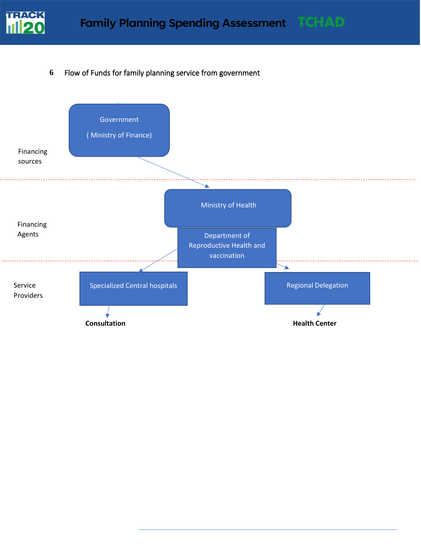

## **6** Flow of Funds for family planning service from government